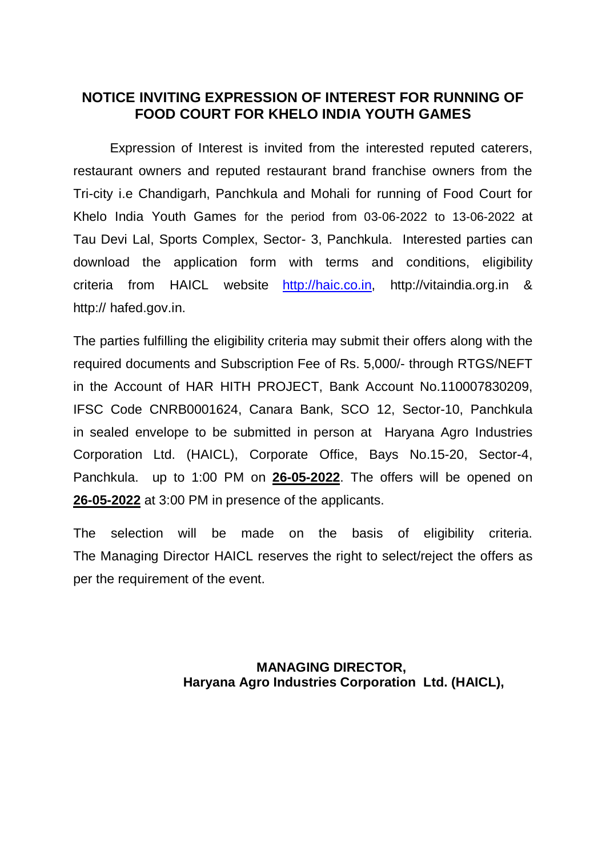# **NOTICE INVITING EXPRESSION OF INTEREST FOR RUNNING OF FOOD COURT FOR KHELO INDIA YOUTH GAMES**

Expression of Interest is invited from the interested reputed caterers, restaurant owners and reputed restaurant brand franchise owners from the Tri-city i.e Chandigarh, Panchkula and Mohali for running of Food Court for Khelo India Youth Games for the period from 03-06-2022 to 13-06-2022 at Tau Devi Lal, Sports Complex, Sector- 3, Panchkula. Interested parties can download the application form with terms and conditions, eligibility criteria from HAICL website [http://haic.co.in,](http://haic.co.in/) http://vitaindia.org.in & http:// hafed.gov.in.

The parties fulfilling the eligibility criteria may submit their offers along with the required documents and Subscription Fee of Rs. 5,000/- through RTGS/NEFT in the Account of HAR HITH PROJECT, Bank Account No.110007830209, IFSC Code CNRB0001624, Canara Bank, SCO 12, Sector-10, Panchkula in sealed envelope to be submitted in person at Haryana Agro Industries Corporation Ltd. (HAICL), Corporate Office, Bays No.15-20, Sector-4, Panchkula. up to 1:00 PM on **26-05-2022**. The offers will be opened on **26-05-2022** at 3:00 PM in presence of the applicants.

The selection will be made on the basis of eligibility criteria. The Managing Director HAICL reserves the right to select/reject the offers as per the requirement of the event.

## **MANAGING DIRECTOR, Haryana Agro Industries Corporation Ltd. (HAICL),**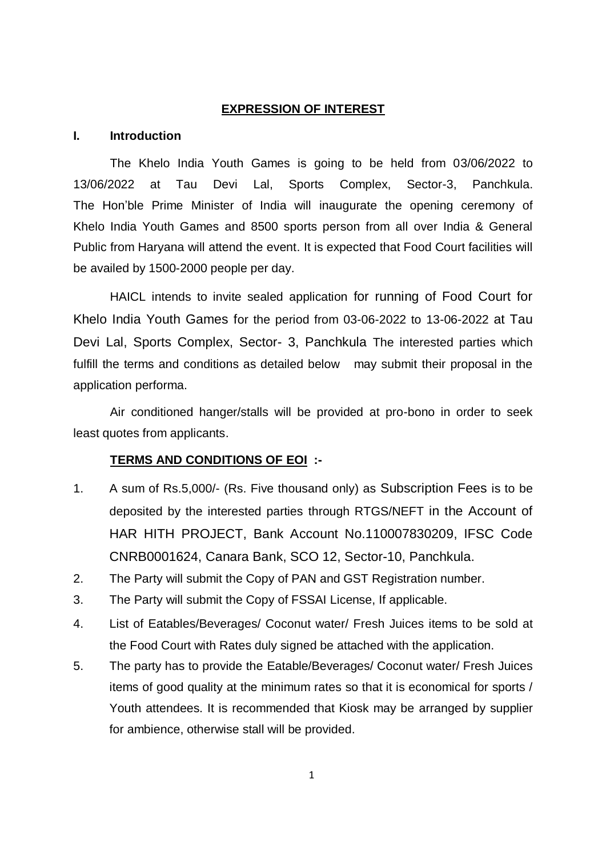### **EXPRESSION OF INTEREST**

#### **I. Introduction**

The Khelo India Youth Games is going to be held from 03/06/2022 to 13/06/2022 at Tau Devi Lal, Sports Complex, Sector-3, Panchkula. The Hon'ble Prime Minister of India will inaugurate the opening ceremony of Khelo India Youth Games and 8500 sports person from all over India & General Public from Haryana will attend the event. It is expected that Food Court facilities will be availed by 1500-2000 people per day.

HAICL intends to invite sealed application for running of Food Court for Khelo India Youth Games for the period from 03-06-2022 to 13-06-2022 at Tau Devi Lal, Sports Complex, Sector- 3, Panchkula The interested parties which fulfill the terms and conditions as detailed below may submit their proposal in the application performa.

Air conditioned hanger/stalls will be provided at pro-bono in order to seek least quotes from applicants.

#### **TERMS AND CONDITIONS OF EOI :-**

- 1. A sum of Rs.5,000/- (Rs. Five thousand only) as Subscription Fees is to be deposited by the interested parties through RTGS/NEFT in the Account of HAR HITH PROJECT, Bank Account No.110007830209, IFSC Code CNRB0001624, Canara Bank, SCO 12, Sector-10, Panchkula.
- 2. The Party will submit the Copy of PAN and GST Registration number.
- 3. The Party will submit the Copy of FSSAI License, If applicable.
- 4. List of Eatables/Beverages/ Coconut water/ Fresh Juices items to be sold at the Food Court with Rates duly signed be attached with the application.
- 5. The party has to provide the Eatable/Beverages/ Coconut water/ Fresh Juices items of good quality at the minimum rates so that it is economical for sports / Youth attendees. It is recommended that Kiosk may be arranged by supplier for ambience, otherwise stall will be provided.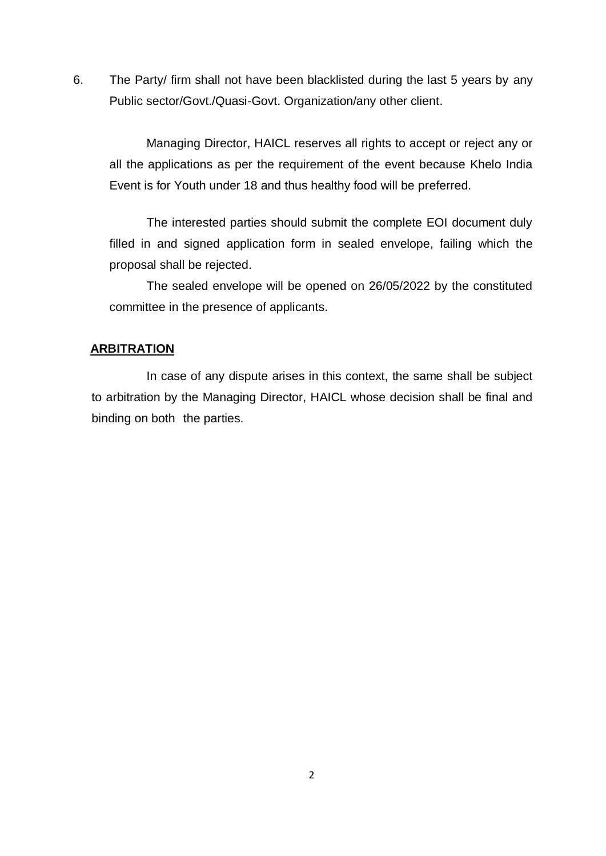6. The Party/ firm shall not have been blacklisted during the last 5 years by any Public sector/Govt./Quasi-Govt. Organization/any other client.

Managing Director, HAICL reserves all rights to accept or reject any or all the applications as per the requirement of the event because Khelo India Event is for Youth under 18 and thus healthy food will be preferred.

 The interested parties should submit the complete EOI document duly filled in and signed application form in sealed envelope, failing which the proposal shall be rejected.

The sealed envelope will be opened on 26/05/2022 by the constituted committee in the presence of applicants.

### **ARBITRATION**

In case of any dispute arises in this context, the same shall be subject to arbitration by the Managing Director, HAICL whose decision shall be final and binding on both the parties.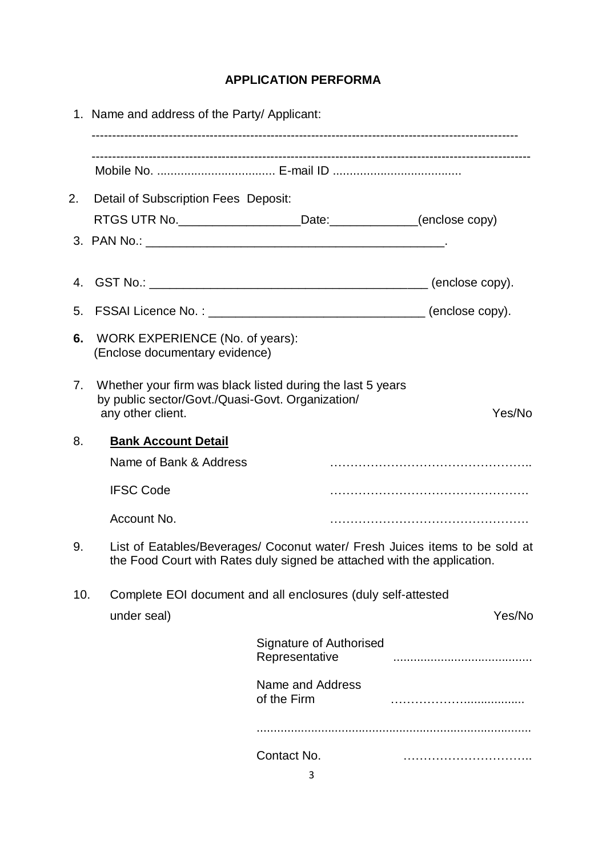# **APPLICATION PERFORMA**

|     | 1. Name and address of the Party/ Applicant:                                                                                                           |                                           |        |  |  |
|-----|--------------------------------------------------------------------------------------------------------------------------------------------------------|-------------------------------------------|--------|--|--|
|     |                                                                                                                                                        |                                           |        |  |  |
| 2.  | Detail of Subscription Fees Deposit:                                                                                                                   |                                           |        |  |  |
|     | RTGS UTR No. __________________________Date:________________(enclose copy)                                                                             |                                           |        |  |  |
|     |                                                                                                                                                        |                                           |        |  |  |
|     |                                                                                                                                                        |                                           |        |  |  |
| 4.  |                                                                                                                                                        |                                           |        |  |  |
|     | 5. FSSAI Licence No.: ___________________________________(enclose copy).                                                                               |                                           |        |  |  |
| 6.  | WORK EXPERIENCE (No. of years):<br>(Enclose documentary evidence)                                                                                      |                                           |        |  |  |
| 7.  | Whether your firm was black listed during the last 5 years<br>by public sector/Govt./Quasi-Govt. Organization/<br>any other client.                    |                                           | Yes/No |  |  |
| 8.  | <b>Bank Account Detail</b>                                                                                                                             |                                           |        |  |  |
|     | Name of Bank & Address                                                                                                                                 |                                           |        |  |  |
|     | <b>IFSC Code</b>                                                                                                                                       |                                           |        |  |  |
|     | Account No.                                                                                                                                            |                                           |        |  |  |
| 9.  | List of Eatables/Beverages/ Coconut water/ Fresh Juices items to be sold at<br>the Food Court with Rates duly signed be attached with the application. |                                           |        |  |  |
| 10. | Complete EOI document and all enclosures (duly self-attested                                                                                           |                                           |        |  |  |
|     | under seal)                                                                                                                                            |                                           | Yes/No |  |  |
|     |                                                                                                                                                        | Signature of Authorised<br>Representative |        |  |  |
|     |                                                                                                                                                        | Name and Address<br>of the Firm           |        |  |  |
|     |                                                                                                                                                        |                                           |        |  |  |
|     |                                                                                                                                                        | Contact No.                               |        |  |  |